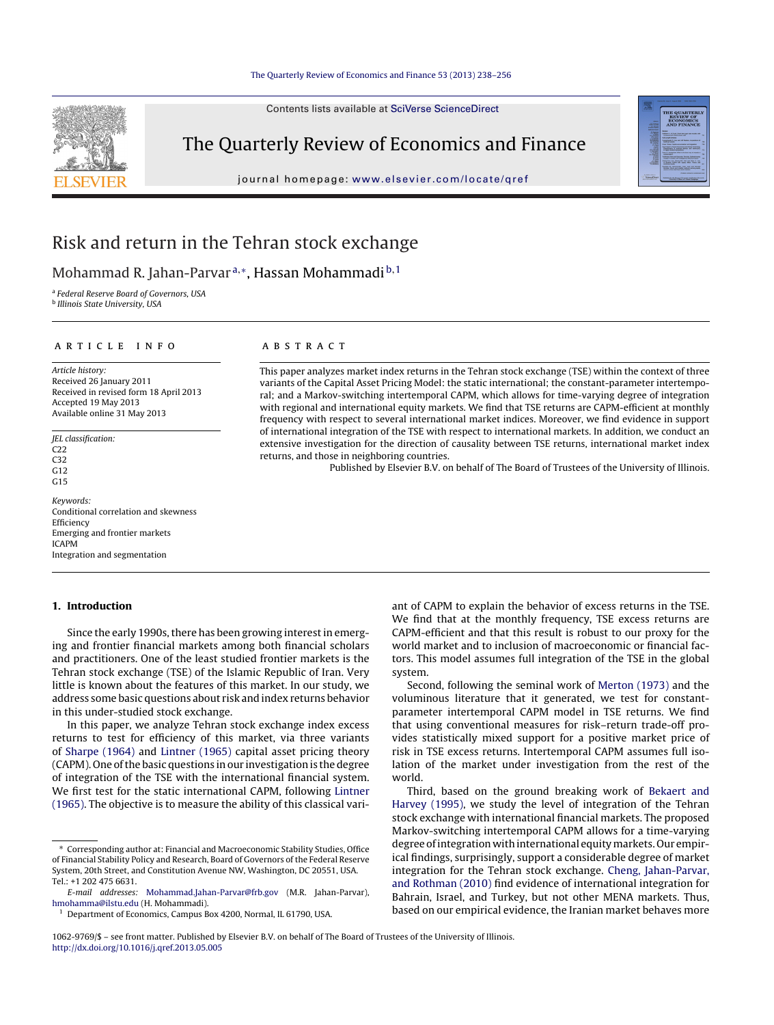#### The Quarterly Review of Economics and Finance [53 \(2013\) 238–256](dx.doi.org/10.1016/j.qref.2013.05.005)

Contents lists available at SciVerse [ScienceDirect](http://www.sciencedirect.com/science/journal/10629769)



The Quarterly Review of Economics and Finance

journal homepage: [www.elsevier.com/locate/qref](http://www.elsevier.com/locate/qref)



# Risk and return in the Tehran stock exchange

Mohammad R. Jahan-Parvar<sup>a,∗</sup>, Hassan Mohammadi b, 1

a Federal Reserve Board of Governors, USA <sup>b</sup> Illinois State University, USA

# a r t i c l e i n f o

Article history: Received 26 January 2011 Received in revised form 18 April 2013 Accepted 19 May 2013 Available online 31 May 2013

JEL classification: C22 C32  $G12$ G15

Keywords: Conditional correlation and skewness Efficiency Emerging and frontier markets ICAPM Integration and segmentation

#### **1. Introduction**

Since the early 1990s, there has been growing interest in emerging and frontier financial markets among both financial scholars and practitioners. One of the least studied frontier markets is the Tehran stock exchange (TSE) of the Islamic Republic of Iran. Very little is known about the features of this market. In our study, we address some basic questions about risk and index returns behavior in this under-studied stock exchange.

In this paper, we analyze Tehran stock exchange index excess returns to test for efficiency of this market, via three variants of [Sharpe](#page--1-0) [\(1964\)](#page--1-0) and [Lintner](#page--1-0) [\(1965\)](#page--1-0) capital asset pricing theory (CAPM). One of the basic questions in our investigation is the degree of integration of the TSE with the international financial system. We first test for the static international CAPM, following [Lintner](#page--1-0) [\(1965\).](#page--1-0) The objective is to measure the ability of this classical vari-

## A B S T R A C T

This paper analyzes market index returns in the Tehran stock exchange (TSE) within the context of three variants of the Capital Asset Pricing Model: the static international; the constant-parameter intertemporal; and a Markov-switching intertemporal CAPM, which allows for time-varying degree of integration with regional and international equity markets. We find that TSE returns are CAPM-efficient at monthly frequency with respect to several international market indices. Moreover, we find evidence in support of international integration of the TSE with respect to international markets. In addition, we conduct an extensive investigation for the direction of causality between TSE returns, international market index returns, and those in neighboring countries.

Published by Elsevier B.V. on behalf of The Board of Trustees of the University of Illinois.

ant of CAPM to explain the behavior of excess returns in the TSE. We find that at the monthly frequency, TSE excess returns are CAPM-efficient and that this result is robust to our proxy for the world market and to inclusion of macroeconomic or financial factors. This model assumes full integration of the TSE in the global system.

Second, following the seminal work of [Merton](#page--1-0) [\(1973\)](#page--1-0) and the voluminous literature that it generated, we test for constantparameter intertemporal CAPM model in TSE returns. We find that using conventional measures for risk–return trade-off provides statistically mixed support for a positive market price of risk in TSE excess returns. Intertemporal CAPM assumes full isolation of the market under investigation from the rest of the world.

Third, based on the ground breaking work of [Bekaert](#page--1-0) [and](#page--1-0) [Harvey](#page--1-0) [\(1995\),](#page--1-0) we study the level of integration of the Tehran stock exchange with international financial markets. The proposed Markov-switching intertemporal CAPM allows for a time-varying degree of integration with international equity markets. Our empirical findings, surprisingly, support a considerable degree of market integration for the Tehran stock exchange. [Cheng,](#page--1-0) [Jahan-Parvar,](#page--1-0) [and](#page--1-0) [Rothman](#page--1-0) [\(2010\)](#page--1-0) find evidence of international integration for Bahrain, Israel, and Turkey, but not other MENA markets. Thus, based on our empirical evidence, the Iranian market behaves more

<sup>∗</sup> Corresponding author at: Financial and Macroeconomic Stability Studies, Office of Financial Stability Policy and Research, Board of Governors of the Federal Reserve System, 20th Street, and Constitution Avenue NW, Washington, DC 20551, USA. Tel.: +1 202 475 6631.

E-mail addresses: [Mohammad.Jahan-Parvar@frb.gov](mailto:Mohammad.Jahan-Parvar@frb.gov) (M.R. Jahan-Parvar), [hmohamma@ilstu.edu](mailto:hmohamma@ilstu.edu) (H. Mohammadi).

<sup>&</sup>lt;sup>1</sup> Department of Economics, Campus Box 4200, Normal, IL 61790, USA.

<sup>1062-9769/\$</sup> – see front matter. Published by Elsevier B.V. on behalf of The Board of Trustees of the University of Illinois. [http://dx.doi.org/10.1016/j.qref.2013.05.005](dx.doi.org/10.1016/j.qref.2013.05.005)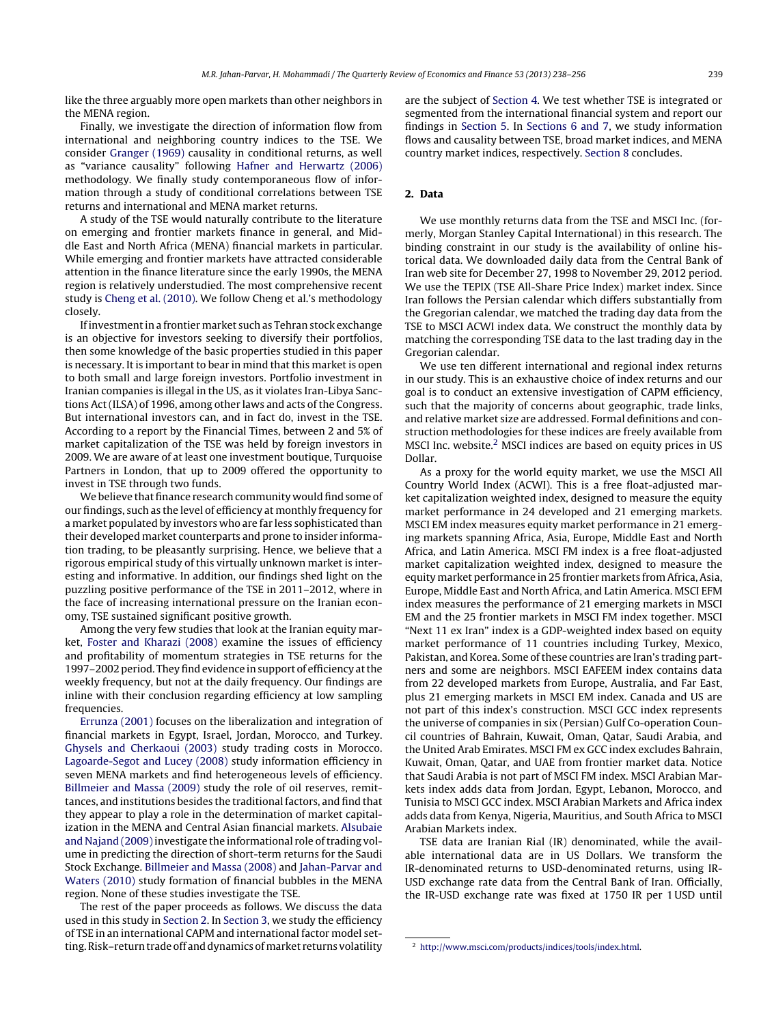like the three arguably more open markets than other neighbors in the MENA region.

Finally, we investigate the direction of information flow from international and neighboring country indices to the TSE. We consider [Granger](#page--1-0) [\(1969\)](#page--1-0) causality in conditional returns, as well as "variance causality" following [Hafner](#page--1-0) [and](#page--1-0) [Herwartz](#page--1-0) [\(2006\)](#page--1-0) methodology. We finally study contemporaneous flow of information through a study of conditional correlations between TSE returns and international and MENA market returns.

A study of the TSE would naturally contribute to the literature on emerging and frontier markets finance in general, and Middle East and North Africa (MENA) financial markets in particular. While emerging and frontier markets have attracted considerable attention in the finance literature since the early 1990s, the MENA region is relatively understudied. The most comprehensive recent study is [Cheng](#page--1-0) et [al.](#page--1-0) [\(2010\).](#page--1-0) We follow Cheng et al.'s methodology closely.

Ifinvestmentin a frontier market such as Tehran stock exchange is an objective for investors seeking to diversify their portfolios, then some knowledge of the basic properties studied in this paper is necessary. It is important to bear in mind that this market is open to both small and large foreign investors. Portfolio investment in Iranian companies is illegal in the US, as it violates Iran-Libya Sanctions Act (ILSA) of 1996, among other laws and acts of the Congress. But international investors can, and in fact do, invest in the TSE. According to a report by the Financial Times, between 2 and 5% of market capitalization of the TSE was held by foreign investors in 2009. We are aware of at least one investment boutique, Turquoise Partners in London, that up to 2009 offered the opportunity to invest in TSE through two funds.

We believe that finance research community would find some of our findings, such as the level of efficiency at monthly frequency for a market populated by investors who are far less sophisticated than their developed market counterparts and prone to insider information trading, to be pleasantly surprising. Hence, we believe that a rigorous empirical study of this virtually unknown market is interesting and informative. In addition, our findings shed light on the puzzling positive performance of the TSE in 2011–2012, where in the face of increasing international pressure on the Iranian economy, TSE sustained significant positive growth.

Among the very few studies that look at the Iranian equity market, [Foster](#page--1-0) [and](#page--1-0) [Kharazi](#page--1-0) [\(2008\)](#page--1-0) examine the issues of efficiency and profitability of momentum strategies in TSE returns for the 1997–2002 period. They find evidence in support of efficiency at the weekly frequency, but not at the daily frequency. Our findings are inline with their conclusion regarding efficiency at low sampling frequencies.

[Errunza](#page--1-0) [\(2001\)](#page--1-0) focuses on the liberalization and integration of financial markets in Egypt, Israel, Jordan, Morocco, and Turkey. [Ghysels](#page--1-0) [and](#page--1-0) [Cherkaoui](#page--1-0) [\(2003\)](#page--1-0) study trading costs in Morocco. [Lagoarde-Segot](#page--1-0) [and](#page--1-0) [Lucey](#page--1-0) [\(2008\)](#page--1-0) study information efficiency in seven MENA markets and find heterogeneous levels of efficiency. [Billmeier](#page--1-0) [and](#page--1-0) [Massa](#page--1-0) [\(2009\)](#page--1-0) study the role of oil reserves, remittances, and institutions besides the traditional factors, and find that they appear to play a role in the determination of market capitalization in the MENA and Central Asian financial markets. [Alsubaie](#page--1-0) [and](#page--1-0) [Najand](#page--1-0) (2009) investigate the informational role of trading volume in predicting the direction of short-term returns for the Saudi Stock Exchange. [Billmeier](#page--1-0) [and](#page--1-0) [Massa](#page--1-0) [\(2008\)](#page--1-0) and [Jahan-Parvar](#page--1-0) [and](#page--1-0) [Waters](#page--1-0) [\(2010\)](#page--1-0) study formation of financial bubbles in the MENA region. None of these studies investigate the TSE.

The rest of the paper proceeds as follows. We discuss the data used in this study in Section 2. In [Section](#page--1-0) [3,](#page--1-0) we study the efficiency of TSE in an international CAPM and international factor model setting. Risk-return trade off and dynamics of market returns volatility

are the subject of [Section](#page--1-0) [4.](#page--1-0) We test whether TSE is integrated or segmented from the international financial system and report our findings in [Section](#page--1-0) [5.](#page--1-0) In [Sections](#page--1-0) [6](#page--1-0) [and](#page--1-0) [7,](#page--1-0) we study information flows and causality between TSE, broad market indices, and MENA country market indices, respectively. [Section](#page--1-0) [8](#page--1-0) concludes.

## **2. Data**

We use monthly returns data from the TSE and MSCI Inc. (formerly, Morgan Stanley Capital International) in this research. The binding constraint in our study is the availability of online historical data. We downloaded daily data from the Central Bank of Iran web site for December 27, 1998 to November 29, 2012 period. We use the TEPIX (TSE All-Share Price Index) market index. Since Iran follows the Persian calendar which differs substantially from the Gregorian calendar, we matched the trading day data from the TSE to MSCI ACWI index data. We construct the monthly data by matching the corresponding TSE data to the last trading day in the Gregorian calendar.

We use ten different international and regional index returns in our study. This is an exhaustive choice of index returns and our goal is to conduct an extensive investigation of CAPM efficiency, such that the majority of concerns about geographic, trade links, and relative market size are addressed. Formal definitions and construction methodologies for these indices are freely available from MSCI Inc. website.<sup>2</sup> MSCI indices are based on equity prices in US Dollar.

As a proxy for the world equity market, we use the MSCI All Country World Index (ACWI). This is a free float-adjusted market capitalization weighted index, designed to measure the equity market performance in 24 developed and 21 emerging markets. MSCI EM index measures equity market performance in 21 emerging markets spanning Africa, Asia, Europe, Middle East and North Africa, and Latin America. MSCI FM index is a free float-adjusted market capitalization weighted index, designed to measure the equity market performance in 25 frontier markets from Africa, Asia, Europe, Middle East and North Africa, and Latin America. MSCI EFM index measures the performance of 21 emerging markets in MSCI EM and the 25 frontier markets in MSCI FM index together. MSCI "Next 11 ex Iran" index is a GDP-weighted index based on equity market performance of 11 countries including Turkey, Mexico, Pakistan, and Korea. Some of these countries are Iran's trading partners and some are neighbors. MSCI EAFEEM index contains data from 22 developed markets from Europe, Australia, and Far East, plus 21 emerging markets in MSCI EM index. Canada and US are not part of this index's construction. MSCI GCC index represents the universe of companies in six (Persian) Gulf Co-operation Council countries of Bahrain, Kuwait, Oman, Qatar, Saudi Arabia, and the United Arab Emirates. MSCI FM ex GCC index excludes Bahrain, Kuwait, Oman, Qatar, and UAE from frontier market data. Notice that Saudi Arabia is not part of MSCI FM index. MSCI Arabian Markets index adds data from Jordan, Egypt, Lebanon, Morocco, and Tunisia to MSCI GCC index. MSCI Arabian Markets and Africa index adds data from Kenya, Nigeria, Mauritius, and South Africa to MSCI Arabian Markets index.

TSE data are Iranian Rial (IR) denominated, while the available international data are in US Dollars. We transform the IR-denominated returns to USD-denominated returns, using IR-USD exchange rate data from the Central Bank of Iran. Officially, the IR-USD exchange rate was fixed at 1750 IR per 1 USD until

<sup>2</sup> <http://www.msci.com/products/indices/tools/index.html>.